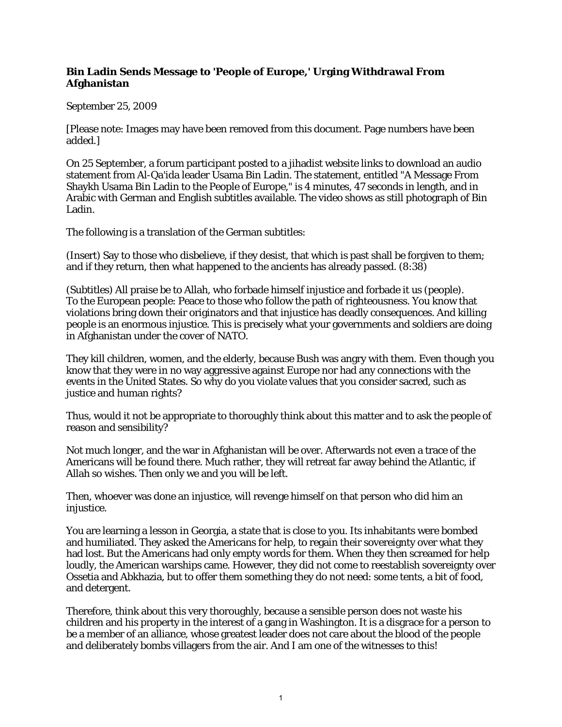## **Bin Ladin Sends Message to 'People of Europe,' Urging Withdrawal From Afghanistan**

## September 25, 2009

[Please note: Images may have been removed from this document. Page numbers have been added.]

On 25 September, a forum participant posted to a jihadist website links to download an audio statement from Al-Qa'ida leader Usama Bin Ladin. The statement, entitled "A Message From Shaykh Usama Bin Ladin to the People of Europe," is 4 minutes, 47 seconds in length, and in Arabic with German and English subtitles available. The video shows as still photograph of Bin Ladin.

The following is a translation of the German subtitles:

(Insert) Say to those who disbelieve, if they desist, that which is past shall be forgiven to them; and if they return, then what happened to the ancients has already passed. (8:38)

(Subtitles) All praise be to Allah, who forbade himself injustice and forbade it us (people). To the European people: Peace to those who follow the path of righteousness. You know that violations bring down their originators and that injustice has deadly consequences. And killing people is an enormous injustice. This is precisely what your governments and soldiers are doing in Afghanistan under the cover of NATO.

They kill children, women, and the elderly, because Bush was angry with them. Even though you know that they were in no way aggressive against Europe nor had any connections with the events in the United States. So why do you violate values that you consider sacred, such as justice and human rights?

Thus, would it not be appropriate to thoroughly think about this matter and to ask the people of reason and sensibility?

Not much longer, and the war in Afghanistan will be over. Afterwards not even a trace of the Americans will be found there. Much rather, they will retreat far away behind the Atlantic, if Allah so wishes. Then only we and you will be left.

Then, whoever was done an injustice, will revenge himself on that person who did him an injustice.

You are learning a lesson in Georgia, a state that is close to you. Its inhabitants were bombed and humiliated. They asked the Americans for help, to regain their sovereignty over what they had lost. But the Americans had only empty words for them. When they then screamed for help loudly, the American warships came. However, they did not come to reestablish sovereignty over Ossetia and Abkhazia, but to offer them something they do not need: some tents, a bit of food, and detergent.

Therefore, think about this very thoroughly, because a sensible person does not waste his children and his property in the interest of a gang in Washington. It is a disgrace for a person to be a member of an alliance, whose greatest leader does not care about the blood of the people and deliberately bombs villagers from the air. And I am one of the witnesses to this!